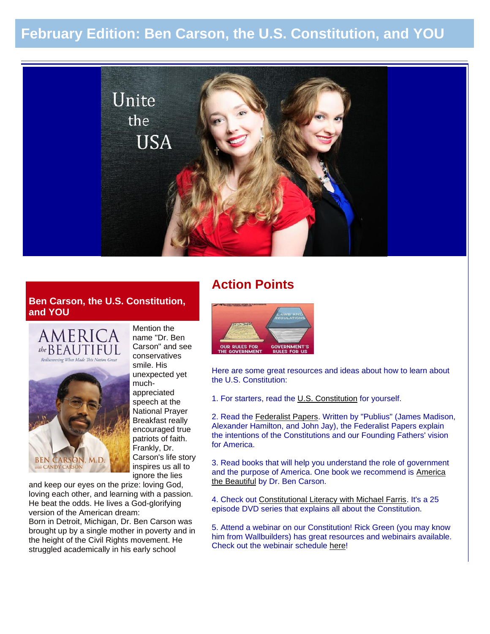# **February Edition: Ben Carson, the U.S. Constitution, and YOU**



# **Ben Carson, the U.S. Constitution, and YOU**



**BEN CARSON, M.D.** *b* CANDY CARSON

name "Dr. Ben Carson" and see conservatives smile. His unexpected yet muchappreciated speech at the National Prayer Breakfast really encouraged true patriots of faith. Frankly, Dr. Carson's life story inspires us all to ignore the lies

Mention the

and keep our eyes on the prize: loving God, loving each other, and learning with a passion. He beat the odds. He lives a God-glorifying version of the American dream: Born in Detroit, Michigan, Dr. Ben Carson was brought up by a single mother in poverty and in the height of the Civil Rights movement. He struggled academically in his early school

# **Action Points**



Here are some great resources and ideas about how to learn about the U.S. Constitution:

1. For starters, read the [U.S. Constitution](http://wallbuilders.com/LIBissuesArticles.asp?id=36438) for yourself.

2. Read the [Federalist Papers.](http://thomas.loc.gov/home/histdox/fedpapers.html) Written by "Publius" (James Madison, Alexander Hamilton, and John Jay), the Federalist Papers explain the intentions of the Constitutions and our Founding Fathers' vision for America.

3. Read books that will help you understand the role of government and the purpose of America. One book we recommend is [America](http://www.amazon.com/dp/0310330912)  [the Beautiful](http://www.amazon.com/dp/0310330912) by Dr. Ben Carson.

4. Check out [Constitutional Literacy with Michael Farris.](http://www.constitutionreclaimed.com/) It's a 25 episode DVD series that explains all about the Constitution.

5. Attend a webinar on our Constitution! Rick Green (you may know him from Wallbuilders) has great resources and webinairs available. Check out the webinair schedule [here!](http://rickgreen.com/live-events/webinar-information/)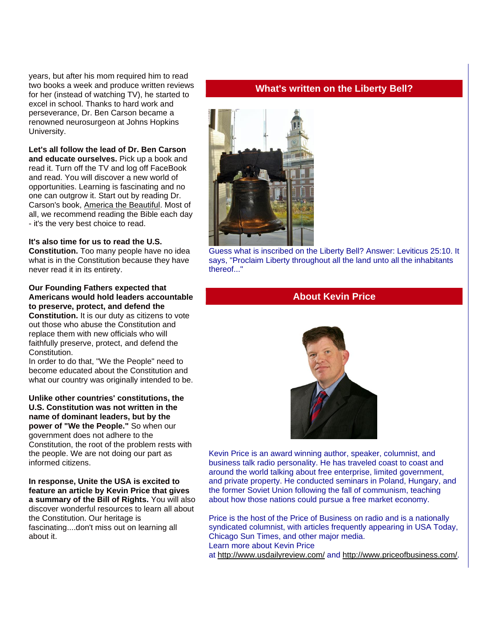years, but after his mom required him to read two books a week and produce written reviews for her (instead of watching TV), he started to excel in school. Thanks to hard work and perseverance, Dr. Ben Carson became a renowned neurosurgeon at Johns Hopkins University.

**Let's all follow the lead of Dr. Ben Carson and educate ourselves.** Pick up a book and read it. Turn off the TV and log off FaceBook and read. You will discover a new world of opportunities. Learning is fascinating and no one can outgrow it. Start out by reading Dr. Carson's book, [America the Beautiful.](http://www.amazon.com/dp/0310330912) Most of all, we recommend reading the Bible each day - it's the very best choice to read.

#### **It's also time for us to read the U.S.**

**Constitution.** Too many people have no idea what is in the Constitution because they have never read it in its entirety.

#### **Our Founding Fathers expected that Americans would hold leaders accountable to preserve, protect, and defend the**

**Constitution.** It is our duty as citizens to vote out those who abuse the Constitution and replace them with new officials who will faithfully preserve, protect, and defend the Constitution.

In order to do that, "We the People" need to become educated about the Constitution and what our country was originally intended to be.

**Unlike other countries' constitutions, the U.S. Constitution was not written in the name of dominant leaders, but by the power of "We the People."** So when our government does not adhere to the Constitution, the root of the problem rests with the people. We are not doing our part as informed citizens.

**In response, Unite the USA is excited to feature an article by Kevin Price that gives a summary of the Bill of Rights.** You will also discover wonderful resources to learn all about the Constitution. Our heritage is fascinating....don't miss out on learning all about it.

### **What's written on the Liberty Bell?**



Guess what is inscribed on the Liberty Bell? Answer: Leviticus 25:10. It says, "Proclaim Liberty throughout all the land unto all the inhabitants thereof..."

## **About Kevin Price**



Kevin Price is an award winning author, speaker, columnist, and business talk radio personality. He has traveled coast to coast and around the world talking about free enterprise, limited government, and private property. He conducted seminars in Poland, Hungary, and the former Soviet Union following the fall of communism, teaching about how those nations could pursue a free market economy.

Price is the host of the Price of Business on radio and is a nationally syndicated columnist, with articles frequently appearing in USA Today, Chicago Sun Times, and other major media. Learn more about Kevin Price at <http://www.usdailyreview.com/> and [http://www.priceofbusiness.com/.](http://www.priceofbusiness.com/)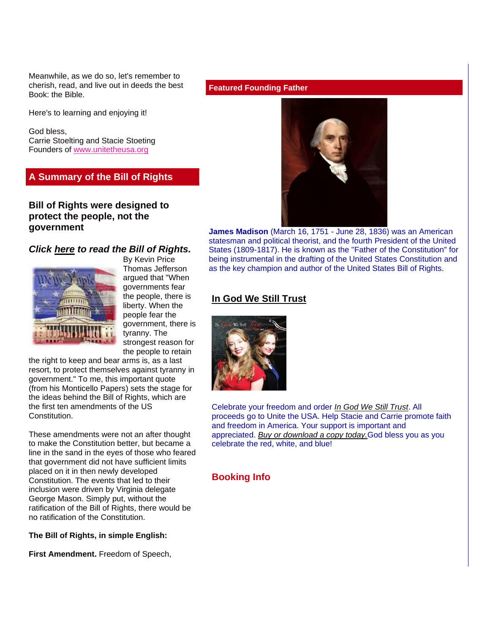Meanwhile, as we do so, let's remember to cherish, read, and live out in deeds the best Book: the Bible.

Here's to learning and enjoying it!

God bless, Carrie Stoelting and Stacie Stoeting Founders of [www.unitetheusa.org](http://r20.rs6.net/tn.jsp?e=0015pg0bAZ2oTFtGIutpyVljLhOmzI4LMC5qnjLioyq5kPN7Su6rgsWpTmNqUN1jfavWGhgD09lFpal3YMCR09VO_U5qR3XrxVhYzbgw2kZGUgfbn1BLYnBkw==)

## **A Summary of the Bill of Rights**

## **Bill of Rights were designed to protect the people, not the government**

#### *Click [here](http://www.archives.gov/exhibits/charters/bill_of_rights_transcript.html) to read the Bill of Rights.*



By Kevin Price Thomas Jefferson argued that "When governments fear the people, there is liberty. When the people fear the government, there is tyranny. The strongest reason for the people to retain

the right to keep and bear arms is, as a last resort, to protect themselves against tyranny in government." To me, this important quote (from his Monticello Papers) sets the stage for the ideas behind the Bill of Rights, which are the first ten amendments of the US **Constitution** 

These amendments were not an after thought to make the Constitution better, but became a line in the sand in the eyes of those who feared that government did not have sufficient limits placed on it in then newly developed Constitution. The events that led to their inclusion were driven by Virginia delegate George Mason. Simply put, without the ratification of the Bill of Rights, there would be no ratification of the Constitution.

#### **The Bill of Rights, in simple English:**

**First Amendment.** Freedom of Speech,

**Featured Founding Father**



**James Madison** (March 16, 1751 - June 28, 1836) was an American statesman and political theorist, and the fourth President of the United States (1809-1817). He is known as the "Father of the Constitution" for being instrumental in the drafting of the United States Constitution and as the key champion and author of the United States Bill of Rights.

### **[In God We Still Trust](http://unitetheusa.org/id56.html)**



Celebrate your freedom and order *[In God We Still Trust](http://unitetheusa.org/id56.html)*. All proceeds go to Unite the USA. Help Stacie and Carrie promote faith and freedom in America. Your support is important and appreciated. *[Buy or download a copy today.](http://unitetheusa.org/id56.html)*God bless you as you celebrate the red, white, and blue!

#### **Booking Info**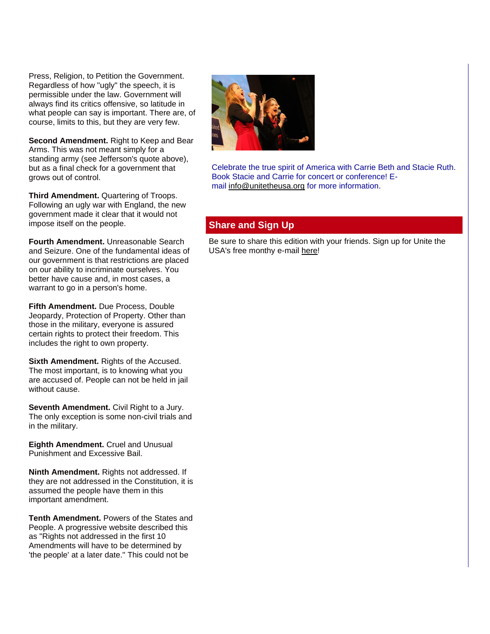Press, Religion, to Petition the Government. Regardless of how "ugly" the speech, it is permissible under the law. Government will always find its critics offensive, so latitude in what people can say is important. There are, of course, limits to this, but they are very few.

**Second Amendment.** Right to Keep and Bear Arms. This was not meant simply for a standing army (see Jefferson's quote above), but as a final check for a government that grows out of control.

**Third Amendment.** Quartering of Troops. Following an ugly war with England, the new government made it clear that it would not impose itself on the people.

**Fourth Amendment.** Unreasonable Search and Seizure. One of the fundamental ideas of our government is that restrictions are placed on our ability to incriminate ourselves. You better have cause and, in most cases, a warrant to go in a person's home.

**Fifth Amendment.** Due Process, Double Jeopardy, Protection of Property. Other than those in the military, everyone is assured certain rights to protect their freedom. This includes the right to own property.

**Sixth Amendment.** Rights of the Accused. The most important, is to knowing what you are accused of. People can not be held in jail without cause.

**Seventh Amendment.** Civil Right to a Jury. The only exception is some non-civil trials and in the military.

**Eighth Amendment.** Cruel and Unusual Punishment and Excessive Bail.

**Ninth Amendment.** Rights not addressed. If they are not addressed in the Constitution, it is assumed the people have them in this important amendment.

**Tenth Amendment.** Powers of the States and People. A progressive website described this as "Rights not addressed in the first 10 Amendments will have to be determined by 'the people' at a later date." This could not be



Celebrate the true spirit of America with Carrie Beth and Stacie Ruth. Book Stacie and Carrie for concert or conference! Email [info@unitetheusa.org](mailto:info@unitetheusa.org) for more information.

# **Share and Sign Up**

Be sure to share this edition with your friends. Sign up for Unite the USA's free monthy e-mail [here!](http://unitetheusa.org/id2.html)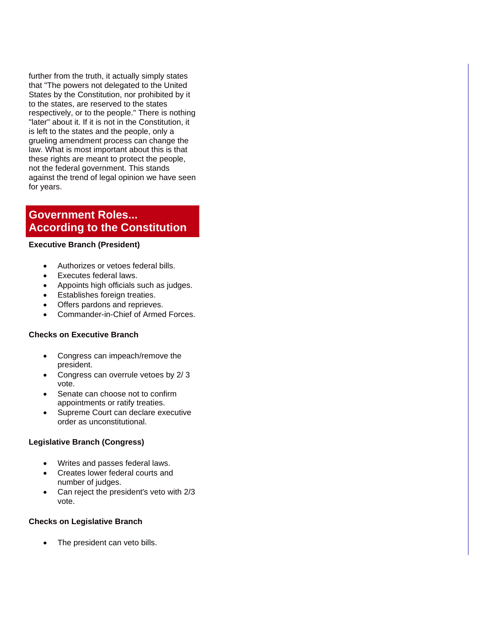further from the truth, it actually simply states that "The powers not delegated to the United States by the Constitution, nor prohibited by it to the states, are reserved to the states respectively, or to the people." There is nothing "later" about it. If it is not in the Constitution, it is left to the states and the people, only a grueling amendment process can change the law. What is most important about this is that these rights are meant to protect the people, not the federal government. This stands against the trend of legal opinion we have seen for years.

# **Government Roles... According to the Constitution**

#### **Executive Branch (President)**

- Authorizes or vetoes federal bills.
- Executes federal laws.
- Appoints high officials such as judges.
- Establishes foreign treaties.
- Offers pardons and reprieves.
- Commander-in-Chief of Armed Forces.

#### **Checks on Executive Branch**

- Congress can impeach/remove the president.
- Congress can overrule vetoes by 2/ 3 vote.
- Senate can choose not to confirm appointments or ratify treaties.
- Supreme Court can declare executive order as unconstitutional.

#### **Legislative Branch (Congress)**

- Writes and passes federal laws.
- Creates lower federal courts and number of judges.
- Can reject the president's veto with 2/3 vote.

#### **Checks on Legislative Branch**

The president can veto bills.